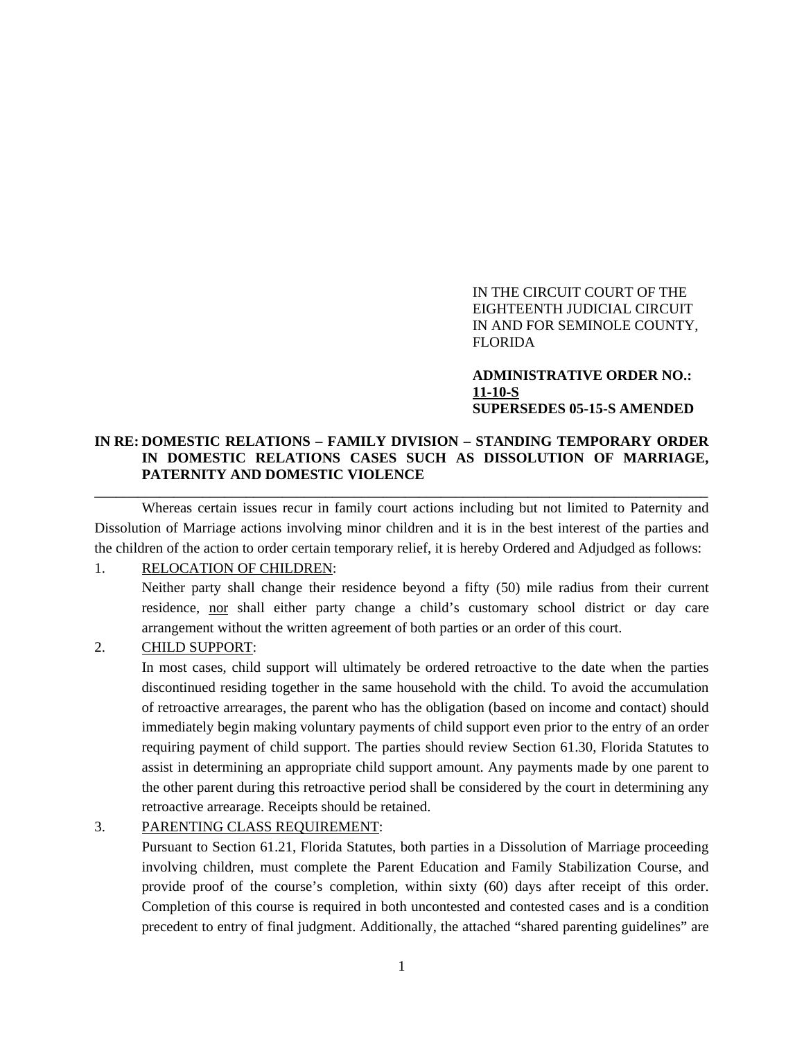IN THE CIRCUIT COURT OF THE EIGHTEENTH JUDICIAL CIRCUIT IN AND FOR SEMINOLE COUNTY, FLORIDA

**ADMINISTRATIVE ORDER NO.: 11-10-S SUPERSEDES 05-15-S AMENDED** 

## **IN RE: DOMESTIC RELATIONS – FAMILY DIVISION – STANDING TEMPORARY ORDER IN DOMESTIC RELATIONS CASES SUCH AS DISSOLUTION OF MARRIAGE, PATERNITY AND DOMESTIC VIOLENCE**

\_\_\_\_\_\_\_\_\_\_\_\_\_\_\_\_\_\_\_\_\_\_\_\_\_\_\_\_\_\_\_\_\_\_\_\_\_\_\_\_\_\_\_\_\_\_\_\_\_\_\_\_\_\_\_\_\_\_\_\_\_\_\_\_\_\_\_\_\_\_\_\_\_\_\_\_\_\_\_\_\_\_\_\_\_

Whereas certain issues recur in family court actions including but not limited to Paternity and Dissolution of Marriage actions involving minor children and it is in the best interest of the parties and the children of the action to order certain temporary relief, it is hereby Ordered and Adjudged as follows:

#### 1. RELOCATION OF CHILDREN:

Neither party shall change their residence beyond a fifty (50) mile radius from their current residence, nor shall either party change a child's customary school district or day care arrangement without the written agreement of both parties or an order of this court.

#### 2. CHILD SUPPORT:

In most cases, child support will ultimately be ordered retroactive to the date when the parties discontinued residing together in the same household with the child. To avoid the accumulation of retroactive arrearages, the parent who has the obligation (based on income and contact) should immediately begin making voluntary payments of child support even prior to the entry of an order requiring payment of child support. The parties should review Section 61.30, Florida Statutes to assist in determining an appropriate child support amount. Any payments made by one parent to the other parent during this retroactive period shall be considered by the court in determining any retroactive arrearage. Receipts should be retained.

#### 3. PARENTING CLASS REQUIREMENT:

Pursuant to Section 61.21, Florida Statutes, both parties in a Dissolution of Marriage proceeding involving children, must complete the Parent Education and Family Stabilization Course, and provide proof of the course's completion, within sixty (60) days after receipt of this order. Completion of this course is required in both uncontested and contested cases and is a condition precedent to entry of final judgment. Additionally, the attached "shared parenting guidelines" are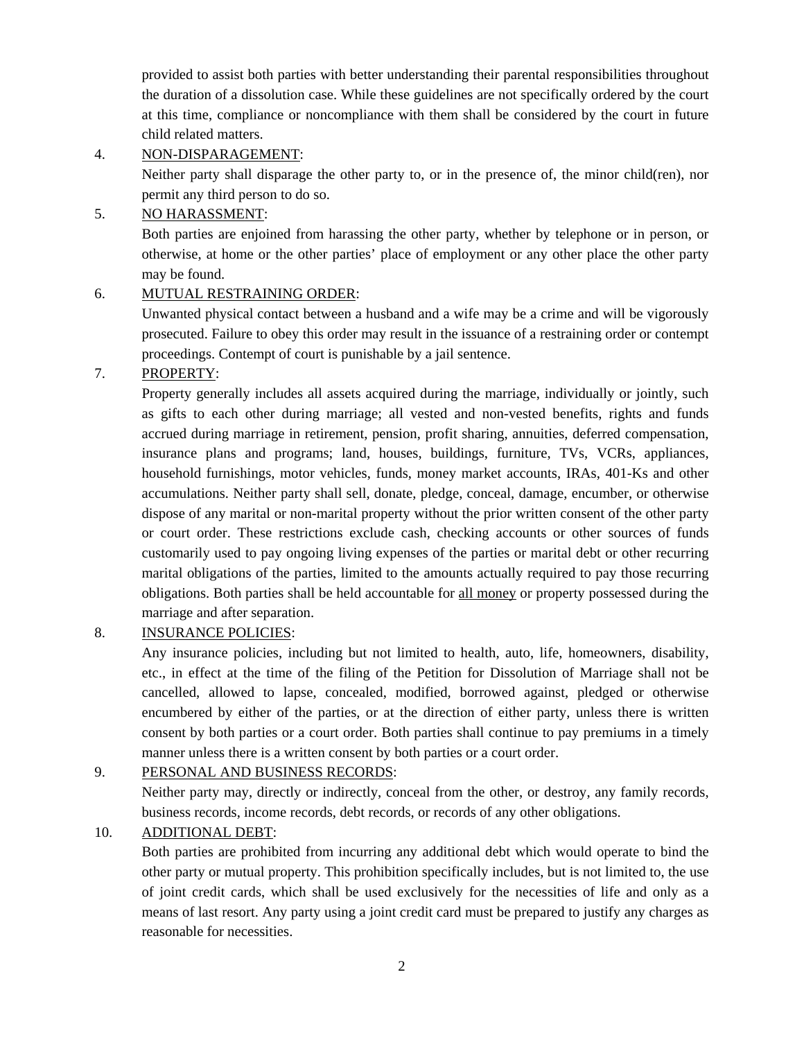provided to assist both parties with better understanding their parental responsibilities throughout the duration of a dissolution case. While these guidelines are not specifically ordered by the court at this time, compliance or noncompliance with them shall be considered by the court in future child related matters.

### 4. NON-DISPARAGEMENT:

Neither party shall disparage the other party to, or in the presence of, the minor child(ren), nor permit any third person to do so.

# 5. NO HARASSMENT:

Both parties are enjoined from harassing the other party, whether by telephone or in person, or otherwise, at home or the other parties' place of employment or any other place the other party may be found.

# 6. MUTUAL RESTRAINING ORDER:

Unwanted physical contact between a husband and a wife may be a crime and will be vigorously prosecuted. Failure to obey this order may result in the issuance of a restraining order or contempt proceedings. Contempt of court is punishable by a jail sentence.

# 7. PROPERTY:

Property generally includes all assets acquired during the marriage, individually or jointly, such as gifts to each other during marriage; all vested and non-vested benefits, rights and funds accrued during marriage in retirement, pension, profit sharing, annuities, deferred compensation, insurance plans and programs; land, houses, buildings, furniture, TVs, VCRs, appliances, household furnishings, motor vehicles, funds, money market accounts, IRAs, 401-Ks and other accumulations. Neither party shall sell, donate, pledge, conceal, damage, encumber, or otherwise dispose of any marital or non-marital property without the prior written consent of the other party or court order. These restrictions exclude cash, checking accounts or other sources of funds customarily used to pay ongoing living expenses of the parties or marital debt or other recurring marital obligations of the parties, limited to the amounts actually required to pay those recurring obligations. Both parties shall be held accountable for all money or property possessed during the marriage and after separation.

## 8. INSURANCE POLICIES:

Any insurance policies, including but not limited to health, auto, life, homeowners, disability, etc., in effect at the time of the filing of the Petition for Dissolution of Marriage shall not be cancelled, allowed to lapse, concealed, modified, borrowed against, pledged or otherwise encumbered by either of the parties, or at the direction of either party, unless there is written consent by both parties or a court order. Both parties shall continue to pay premiums in a timely manner unless there is a written consent by both parties or a court order.

## 9. PERSONAL AND BUSINESS RECORDS:

Neither party may, directly or indirectly, conceal from the other, or destroy, any family records, business records, income records, debt records, or records of any other obligations.

# 10. ADDITIONAL DEBT:

Both parties are prohibited from incurring any additional debt which would operate to bind the other party or mutual property. This prohibition specifically includes, but is not limited to, the use of joint credit cards, which shall be used exclusively for the necessities of life and only as a means of last resort. Any party using a joint credit card must be prepared to justify any charges as reasonable for necessities.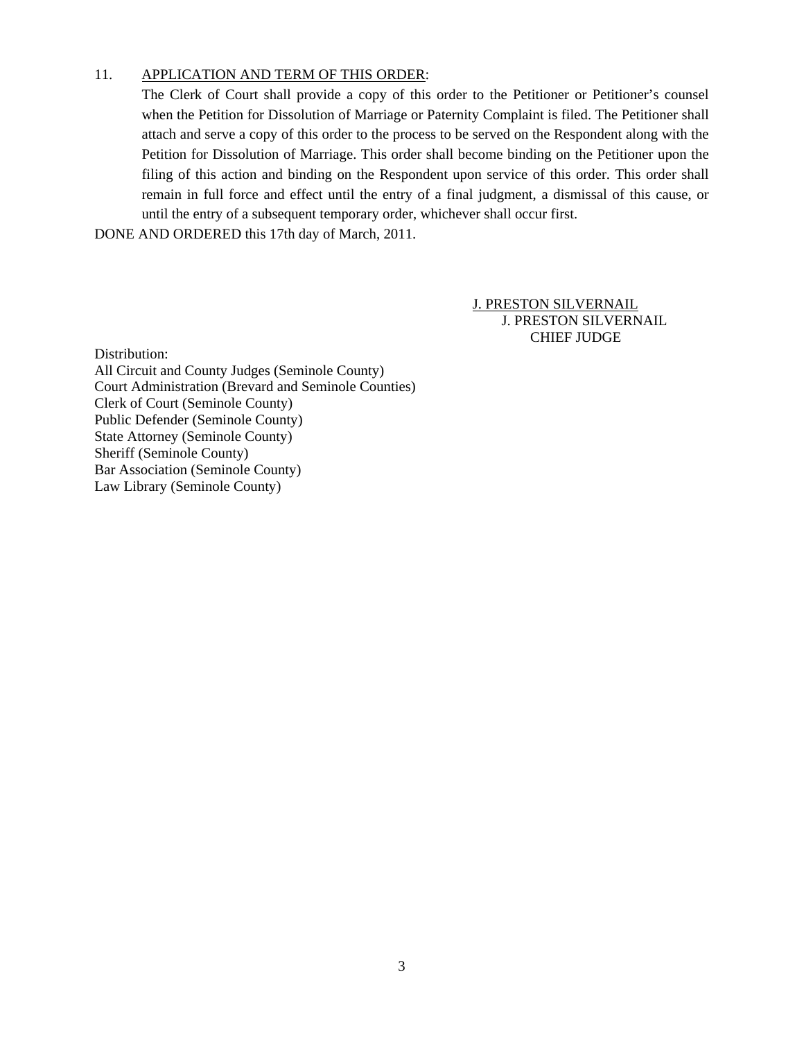## 11. APPLICATION AND TERM OF THIS ORDER:

The Clerk of Court shall provide a copy of this order to the Petitioner or Petitioner's counsel when the Petition for Dissolution of Marriage or Paternity Complaint is filed. The Petitioner shall attach and serve a copy of this order to the process to be served on the Respondent along with the Petition for Dissolution of Marriage. This order shall become binding on the Petitioner upon the filing of this action and binding on the Respondent upon service of this order. This order shall remain in full force and effect until the entry of a final judgment, a dismissal of this cause, or until the entry of a subsequent temporary order, whichever shall occur first.

DONE AND ORDERED this 17th day of March, 2011.

J. PRESTON SILVERNAIL J. PRESTON SILVERNAIL CHIEF JUDGE

Distribution:

All Circuit and County Judges (Seminole County) Court Administration (Brevard and Seminole Counties) Clerk of Court (Seminole County) Public Defender (Seminole County) State Attorney (Seminole County) Sheriff (Seminole County) Bar Association (Seminole County) Law Library (Seminole County)